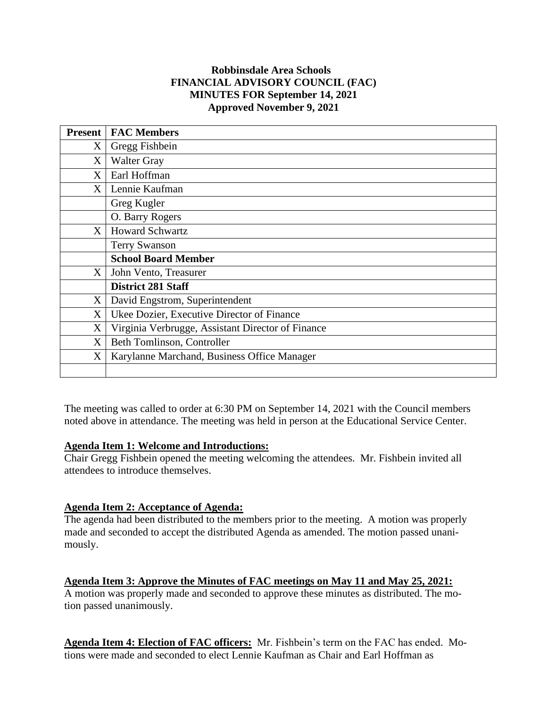## **Robbinsdale Area Schools FINANCIAL ADVISORY COUNCIL (FAC) MINUTES FOR September 14, 2021 Approved November 9, 2021**

| <b>Present</b> | <b>FAC Members</b>                                |
|----------------|---------------------------------------------------|
| X              | Gregg Fishbein                                    |
| X              | <b>Walter Gray</b>                                |
| X              | Earl Hoffman                                      |
| X              | Lennie Kaufman                                    |
|                | Greg Kugler                                       |
|                | O. Barry Rogers                                   |
| X <sub>1</sub> | <b>Howard Schwartz</b>                            |
|                | <b>Terry Swanson</b>                              |
|                | <b>School Board Member</b>                        |
| X              | John Vento, Treasurer                             |
|                | <b>District 281 Staff</b>                         |
| X              | David Engstrom, Superintendent                    |
| X              | Ukee Dozier, Executive Director of Finance        |
| X              | Virginia Verbrugge, Assistant Director of Finance |
| X              | Beth Tomlinson, Controller                        |
| X              | Karylanne Marchand, Business Office Manager       |
|                |                                                   |

The meeting was called to order at 6:30 PM on September 14, 2021 with the Council members noted above in attendance. The meeting was held in person at the Educational Service Center.

### **Agenda Item 1: Welcome and Introductions:**

Chair Gregg Fishbein opened the meeting welcoming the attendees. Mr. Fishbein invited all attendees to introduce themselves.

# **Agenda Item 2: Acceptance of Agenda:**

The agenda had been distributed to the members prior to the meeting. A motion was properly made and seconded to accept the distributed Agenda as amended. The motion passed unanimously.

# **Agenda Item 3: Approve the Minutes of FAC meetings on May 11 and May 25, 2021:**

A motion was properly made and seconded to approve these minutes as distributed. The motion passed unanimously.

**Agenda Item 4: Election of FAC officers:** Mr. Fishbein's term on the FAC has ended. Motions were made and seconded to elect Lennie Kaufman as Chair and Earl Hoffman as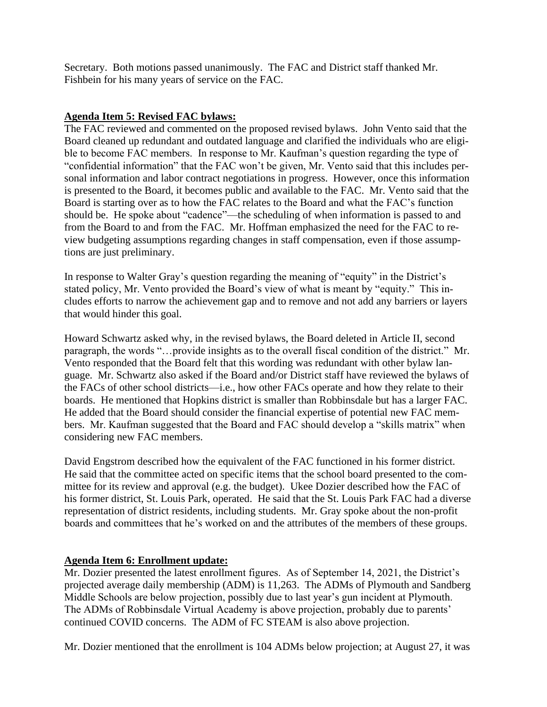Secretary. Both motions passed unanimously. The FAC and District staff thanked Mr. Fishbein for his many years of service on the FAC.

### **Agenda Item 5: Revised FAC bylaws:**

The FAC reviewed and commented on the proposed revised bylaws. John Vento said that the Board cleaned up redundant and outdated language and clarified the individuals who are eligible to become FAC members. In response to Mr. Kaufman's question regarding the type of "confidential information" that the FAC won't be given, Mr. Vento said that this includes personal information and labor contract negotiations in progress. However, once this information is presented to the Board, it becomes public and available to the FAC. Mr. Vento said that the Board is starting over as to how the FAC relates to the Board and what the FAC's function should be. He spoke about "cadence"—the scheduling of when information is passed to and from the Board to and from the FAC. Mr. Hoffman emphasized the need for the FAC to review budgeting assumptions regarding changes in staff compensation, even if those assumptions are just preliminary.

In response to Walter Gray's question regarding the meaning of "equity" in the District's stated policy, Mr. Vento provided the Board's view of what is meant by "equity." This includes efforts to narrow the achievement gap and to remove and not add any barriers or layers that would hinder this goal.

Howard Schwartz asked why, in the revised bylaws, the Board deleted in Article II, second paragraph, the words "…provide insights as to the overall fiscal condition of the district." Mr. Vento responded that the Board felt that this wording was redundant with other bylaw language. Mr. Schwartz also asked if the Board and/or District staff have reviewed the bylaws of the FACs of other school districts—i.e., how other FACs operate and how they relate to their boards. He mentioned that Hopkins district is smaller than Robbinsdale but has a larger FAC. He added that the Board should consider the financial expertise of potential new FAC members. Mr. Kaufman suggested that the Board and FAC should develop a "skills matrix" when considering new FAC members.

David Engstrom described how the equivalent of the FAC functioned in his former district. He said that the committee acted on specific items that the school board presented to the committee for its review and approval (e.g. the budget). Ukee Dozier described how the FAC of his former district, St. Louis Park, operated. He said that the St. Louis Park FAC had a diverse representation of district residents, including students. Mr. Gray spoke about the non-profit boards and committees that he's worked on and the attributes of the members of these groups.

# **Agenda Item 6: Enrollment update:**

Mr. Dozier presented the latest enrollment figures. As of September 14, 2021, the District's projected average daily membership (ADM) is 11,263. The ADMs of Plymouth and Sandberg Middle Schools are below projection, possibly due to last year's gun incident at Plymouth. The ADMs of Robbinsdale Virtual Academy is above projection, probably due to parents' continued COVID concerns. The ADM of FC STEAM is also above projection.

Mr. Dozier mentioned that the enrollment is 104 ADMs below projection; at August 27, it was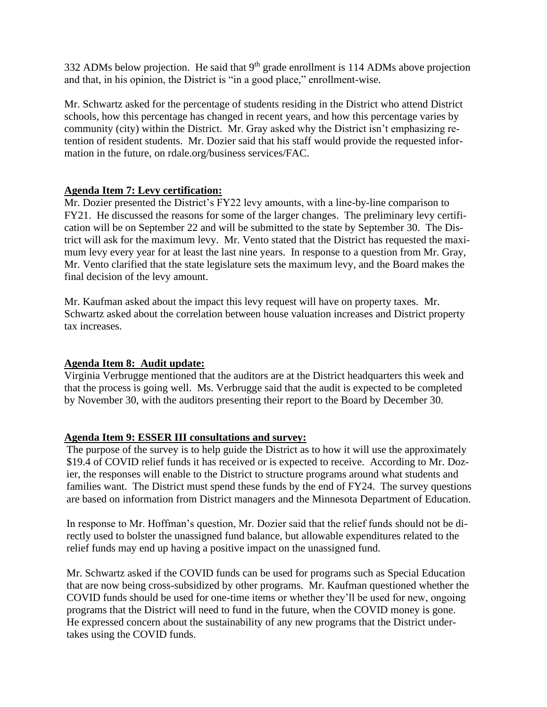332 ADMs below projection. He said that  $9<sup>th</sup>$  grade enrollment is 114 ADMs above projection and that, in his opinion, the District is "in a good place," enrollment-wise.

Mr. Schwartz asked for the percentage of students residing in the District who attend District schools, how this percentage has changed in recent years, and how this percentage varies by community (city) within the District. Mr. Gray asked why the District isn't emphasizing retention of resident students. Mr. Dozier said that his staff would provide the requested information in the future, on rdale.org/business services/FAC.

### **Agenda Item 7: Levy certification:**

Mr. Dozier presented the District's FY22 levy amounts, with a line-by-line comparison to FY21. He discussed the reasons for some of the larger changes. The preliminary levy certification will be on September 22 and will be submitted to the state by September 30. The District will ask for the maximum levy. Mr. Vento stated that the District has requested the maximum levy every year for at least the last nine years. In response to a question from Mr. Gray, Mr. Vento clarified that the state legislature sets the maximum levy, and the Board makes the final decision of the levy amount.

Mr. Kaufman asked about the impact this levy request will have on property taxes. Mr. Schwartz asked about the correlation between house valuation increases and District property tax increases.

### **Agenda Item 8: Audit update:**

Virginia Verbrugge mentioned that the auditors are at the District headquarters this week and that the process is going well. Ms. Verbrugge said that the audit is expected to be completed by November 30, with the auditors presenting their report to the Board by December 30.

### **Agenda Item 9: ESSER III consultations and survey:**

The purpose of the survey is to help guide the District as to how it will use the approximately \$19.4 of COVID relief funds it has received or is expected to receive. According to Mr. Dozier, the responses will enable to the District to structure programs around what students and families want. The District must spend these funds by the end of FY24. The survey questions are based on information from District managers and the Minnesota Department of Education.

In response to Mr. Hoffman's question, Mr. Dozier said that the relief funds should not be directly used to bolster the unassigned fund balance, but allowable expenditures related to the relief funds may end up having a positive impact on the unassigned fund.

Mr. Schwartz asked if the COVID funds can be used for programs such as Special Education that are now being cross-subsidized by other programs. Mr. Kaufman questioned whether the COVID funds should be used for one-time items or whether they'll be used for new, ongoing programs that the District will need to fund in the future, when the COVID money is gone. He expressed concern about the sustainability of any new programs that the District undertakes using the COVID funds.